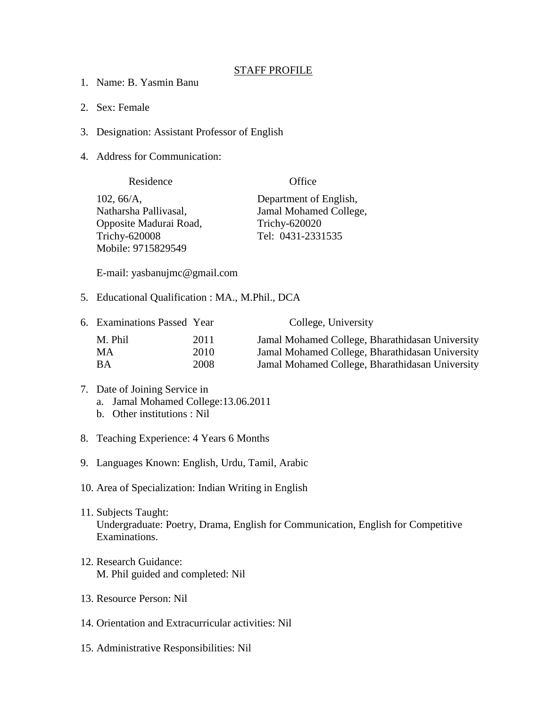## STAFF PROFILE

- 1. Name: B. Yasmin Banu
- 2. Sex: Female
- 3. Designation: Assistant Professor of English
- 4. Address for Communication:

| Residence              | Office                 |
|------------------------|------------------------|
| 102, 66/A,             | Department of English, |
| Natharsha Pallivasal,  | Jamal Mohamed College, |
| Opposite Madurai Road, | Trichy-620020          |
| <b>Trichy-620008</b>   | Tel: 0431-2331535      |
| Mobile: 9715829549     |                        |

E-mail: yasbanujmc@gmail.com

5. Educational Qualification : MA., M.Phil., DCA

| 6. Examinations Passed Year |      | College, University                             |
|-----------------------------|------|-------------------------------------------------|
| M. Phil                     | 2011 | Jamal Mohamed College, Bharathidasan University |
| MA                          | 2010 | Jamal Mohamed College, Bharathidasan University |
| ВA                          | 2008 | Jamal Mohamed College, Bharathidasan University |

- 7. Date of Joining Service in a. Jamal Mohamed College:13.06.2011
	- b. Other institutions : Nil
- 8. Teaching Experience: 4 Years 6 Months
- 9. Languages Known: English, Urdu, Tamil, Arabic
- 10. Area of Specialization: Indian Writing in English
- 11. Subjects Taught: Undergraduate: Poetry, Drama, English for Communication, English for Competitive Examinations.
- 12. Research Guidance: M. Phil guided and completed: Nil
- 13. Resource Person: Nil
- 14. Orientation and Extracurricular activities: Nil
- 15. Administrative Responsibilities: Nil